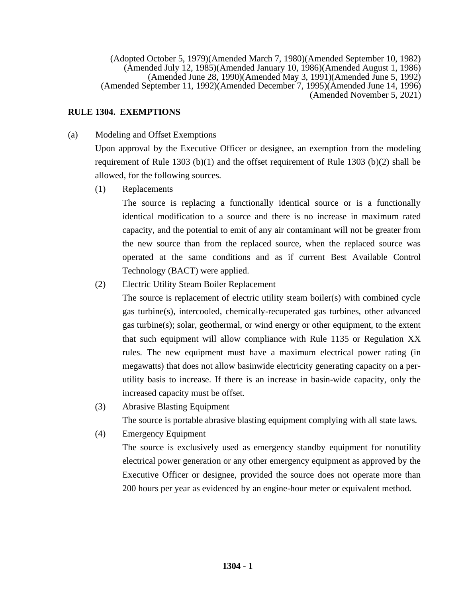(Adopted October 5, 1979)(Amended March 7, 1980)(Amended September 10, 1982) (Amended July 12, 1985)(Amended January 10, 1986)(Amended August 1, 1986) (Amended June 28, 1990)(Amended May 3, 1991)(Amended June 5, 1992) (Amended September 11, 1992)(Amended December 7, 1995)(Amended June 14, 1996) (Amended November 5, 2021)

# **RULE 1304. EXEMPTIONS**

(a) Modeling and Offset Exemptions

Upon approval by the Executive Officer or designee, an exemption from the modeling requirement of Rule 1303 (b)(1) and the offset requirement of Rule 1303 (b)(2) shall be allowed, for the following sources.

(1) Replacements

The source is replacing a functionally identical source or is a functionally identical modification to a source and there is no increase in maximum rated capacity, and the potential to emit of any air contaminant will not be greater from the new source than from the replaced source, when the replaced source was operated at the same conditions and as if current Best Available Control Technology (BACT) were applied.

(2) Electric Utility Steam Boiler Replacement

The source is replacement of electric utility steam boiler(s) with combined cycle gas turbine(s), intercooled, chemically-recuperated gas turbines, other advanced gas turbine(s); solar, geothermal, or wind energy or other equipment, to the extent that such equipment will allow compliance with Rule 1135 or Regulation XX rules. The new equipment must have a maximum electrical power rating (in megawatts) that does not allow basinwide electricity generating capacity on a perutility basis to increase. If there is an increase in basin-wide capacity, only the increased capacity must be offset.

(3) Abrasive Blasting Equipment

The source is portable abrasive blasting equipment complying with all state laws.

(4) Emergency Equipment

The source is exclusively used as emergency standby equipment for nonutility electrical power generation or any other emergency equipment as approved by the Executive Officer or designee, provided the source does not operate more than 200 hours per year as evidenced by an engine-hour meter or equivalent method.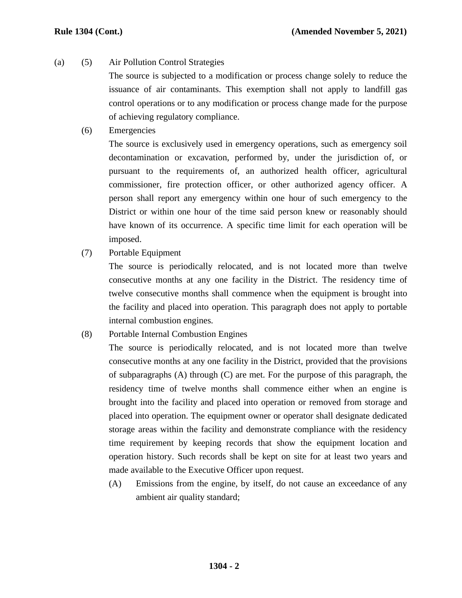(a) (5) Air Pollution Control Strategies

The source is subjected to a modification or process change solely to reduce the issuance of air contaminants. This exemption shall not apply to landfill gas control operations or to any modification or process change made for the purpose of achieving regulatory compliance.

(6) Emergencies

The source is exclusively used in emergency operations, such as emergency soil decontamination or excavation, performed by, under the jurisdiction of, or pursuant to the requirements of, an authorized health officer, agricultural commissioner, fire protection officer, or other authorized agency officer. A person shall report any emergency within one hour of such emergency to the District or within one hour of the time said person knew or reasonably should have known of its occurrence. A specific time limit for each operation will be imposed.

(7) Portable Equipment

The source is periodically relocated, and is not located more than twelve consecutive months at any one facility in the District. The residency time of twelve consecutive months shall commence when the equipment is brought into the facility and placed into operation. This paragraph does not apply to portable internal combustion engines.

(8) Portable Internal Combustion Engines

The source is periodically relocated, and is not located more than twelve consecutive months at any one facility in the District, provided that the provisions of subparagraphs (A) through (C) are met. For the purpose of this paragraph, the residency time of twelve months shall commence either when an engine is brought into the facility and placed into operation or removed from storage and placed into operation. The equipment owner or operator shall designate dedicated storage areas within the facility and demonstrate compliance with the residency time requirement by keeping records that show the equipment location and operation history. Such records shall be kept on site for at least two years and made available to the Executive Officer upon request.

(A) Emissions from the engine, by itself, do not cause an exceedance of any ambient air quality standard;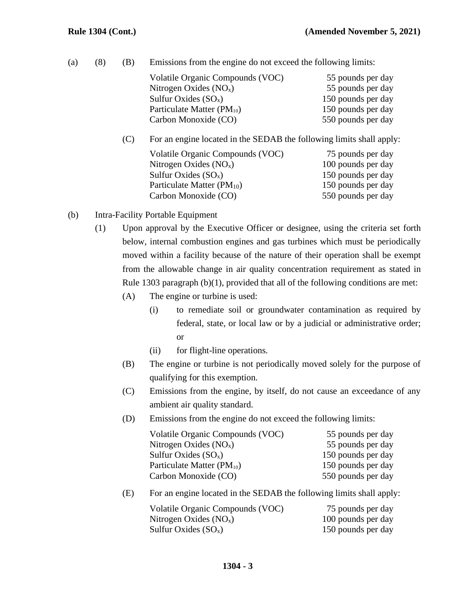|  |  |  | (a) (8) (B) Emissions from the engine do not exceed the following limits: |
|--|--|--|---------------------------------------------------------------------------|
|--|--|--|---------------------------------------------------------------------------|

| Volatile Organic Compounds (VOC)<br>Nitrogen Oxides $(NOx)$<br>Sulfur Oxides $(SO_x)$<br>Particulate Matter (PM <sub>10</sub> )                         | 55 pounds per day<br>55 pounds per day<br>150 pounds per day<br>150 pounds per day                        |
|---------------------------------------------------------------------------------------------------------------------------------------------------------|-----------------------------------------------------------------------------------------------------------|
| Carbon Monoxide (CO)<br>For an engine located in the SEDAB the following limits shall apply:                                                            | 550 pounds per day                                                                                        |
| Volatile Organic Compounds (VOC)<br>Nitrogen Oxides $(NOx)$<br>Sulfur Oxides $(SO_x)$<br>Particulate Matter (PM <sub>10</sub> )<br>Carbon Monoxide (CO) | 75 pounds per day<br>100 pounds per day<br>150 pounds per day<br>150 pounds per day<br>550 pounds per day |

- (b) Intra-Facility Portable Equipment
	- (1) Upon approval by the Executive Officer or designee, using the criteria set forth below, internal combustion engines and gas turbines which must be periodically moved within a facility because of the nature of their operation shall be exempt from the allowable change in air quality concentration requirement as stated in Rule 1303 paragraph (b)(1), provided that all of the following conditions are met:
		- (A) The engine or turbine is used:
			- (i) to remediate soil or groundwater contamination as required by federal, state, or local law or by a judicial or administrative order; or
			- (ii) for flight-line operations.
		- (B) The engine or turbine is not periodically moved solely for the purpose of qualifying for this exemption.
		- (C) Emissions from the engine, by itself, do not cause an exceedance of any ambient air quality standard.
		- (D) Emissions from the engine do not exceed the following limits:

| Volatile Organic Compounds (VOC) | 55 pounds per day  |
|----------------------------------|--------------------|
| Nitrogen Oxides $(NOx)$          | 55 pounds per day  |
| Sulfur Oxides $(SO_x)$           | 150 pounds per day |
| Particulate Matter $(PM_{10})$   | 150 pounds per day |
| Carbon Monoxide (CO)             | 550 pounds per day |
|                                  |                    |

(E) For an engine located in the SEDAB the following limits shall apply:

| Volatile Organic Compounds (VOC) | 75 pounds per day  |
|----------------------------------|--------------------|
| Nitrogen Oxides $(NO_x)$         | 100 pounds per day |
| Sulfur Oxides $(SO_x)$           | 150 pounds per day |

## **1304 - 3**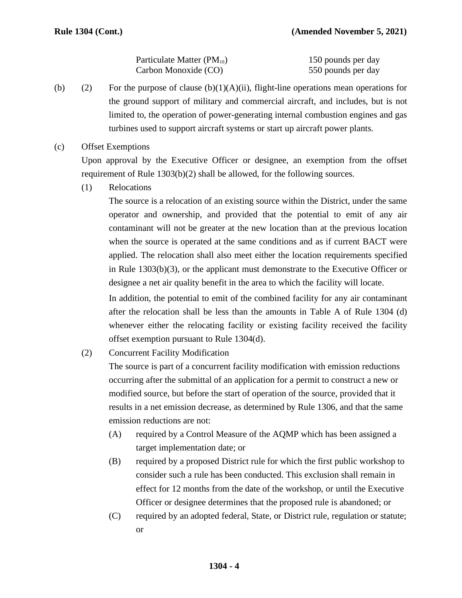| Particulate Matter $(PM_{10})$ | 150 pounds per day |
|--------------------------------|--------------------|
| Carbon Monoxide (CO)           | 550 pounds per day |

- (b) (2) For the purpose of clause  $(b)(1)(A)(ii)$ , flight-line operations mean operations for the ground support of military and commercial aircraft, and includes, but is not limited to, the operation of power-generating internal combustion engines and gas turbines used to support aircraft systems or start up aircraft power plants.
- (c) Offset Exemptions

Upon approval by the Executive Officer or designee, an exemption from the offset requirement of Rule 1303(b)(2) shall be allowed, for the following sources.

(1) Relocations

The source is a relocation of an existing source within the District, under the same operator and ownership, and provided that the potential to emit of any air contaminant will not be greater at the new location than at the previous location when the source is operated at the same conditions and as if current BACT were applied. The relocation shall also meet either the location requirements specified in Rule 1303(b)(3), or the applicant must demonstrate to the Executive Officer or designee a net air quality benefit in the area to which the facility will locate.

In addition, the potential to emit of the combined facility for any air contaminant after the relocation shall be less than the amounts in Table A of Rule 1304 (d) whenever either the relocating facility or existing facility received the facility offset exemption pursuant to Rule 1304(d).

(2) Concurrent Facility Modification

The source is part of a concurrent facility modification with emission reductions occurring after the submittal of an application for a permit to construct a new or modified source, but before the start of operation of the source, provided that it results in a net emission decrease, as determined by Rule 1306, and that the same emission reductions are not:

- (A) required by a Control Measure of the AQMP which has been assigned a target implementation date; or
- (B) required by a proposed District rule for which the first public workshop to consider such a rule has been conducted. This exclusion shall remain in effect for 12 months from the date of the workshop, or until the Executive Officer or designee determines that the proposed rule is abandoned; or
- (C) required by an adopted federal, State, or District rule, regulation or statute; or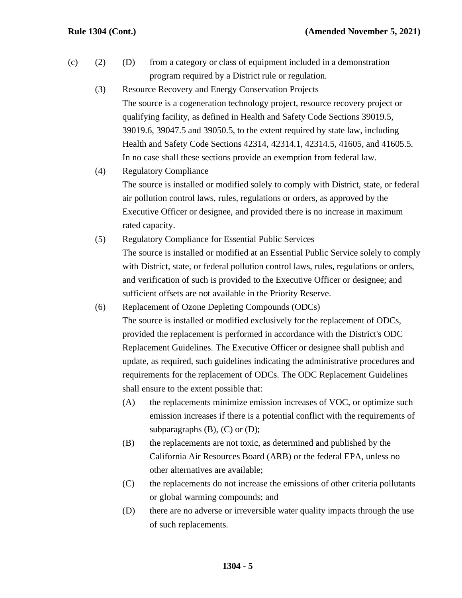- (c) (2) (D) from a category or class of equipment included in a demonstration program required by a District rule or regulation.
	- (3) Resource Recovery and Energy Conservation Projects The source is a cogeneration technology project, resource recovery project or qualifying facility, as defined in Health and Safety Code Sections 39019.5, 39019.6, 39047.5 and 39050.5, to the extent required by state law, including Health and Safety Code Sections 42314, 42314.1, 42314.5, 41605, and 41605.5. In no case shall these sections provide an exemption from federal law.
	- (4) Regulatory Compliance The source is installed or modified solely to comply with District, state, or federal air pollution control laws, rules, regulations or orders, as approved by the Executive Officer or designee, and provided there is no increase in maximum rated capacity.
	- (5) Regulatory Compliance for Essential Public Services The source is installed or modified at an Essential Public Service solely to comply with District, state, or federal pollution control laws, rules, regulations or orders, and verification of such is provided to the Executive Officer or designee; and sufficient offsets are not available in the Priority Reserve.
	- (6) Replacement of Ozone Depleting Compounds (ODCs) The source is installed or modified exclusively for the replacement of ODCs, provided the replacement is performed in accordance with the District's ODC Replacement Guidelines. The Executive Officer or designee shall publish and update, as required, such guidelines indicating the administrative procedures and requirements for the replacement of ODCs. The ODC Replacement Guidelines shall ensure to the extent possible that:
		- (A) the replacements minimize emission increases of VOC, or optimize such emission increases if there is a potential conflict with the requirements of subparagraphs  $(B)$ ,  $(C)$  or  $(D)$ ;
		- (B) the replacements are not toxic, as determined and published by the California Air Resources Board (ARB) or the federal EPA, unless no other alternatives are available;
		- (C) the replacements do not increase the emissions of other criteria pollutants or global warming compounds; and
		- (D) there are no adverse or irreversible water quality impacts through the use of such replacements.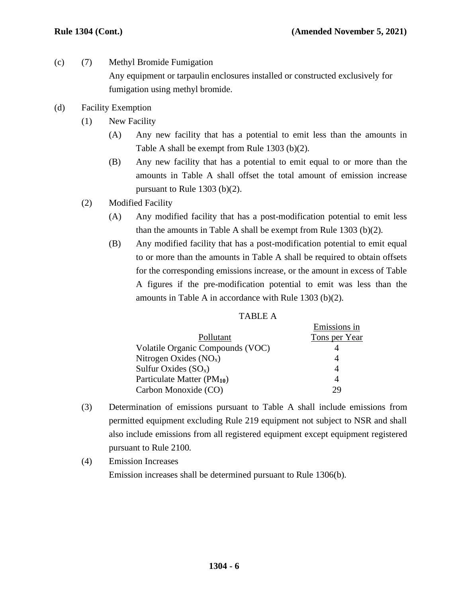- (c) (7) Methyl Bromide Fumigation Any equipment or tarpaulin enclosures installed or constructed exclusively for fumigation using methyl bromide.
- (d) Facility Exemption
	- (1) New Facility
		- (A) Any new facility that has a potential to emit less than the amounts in Table A shall be exempt from Rule 1303 (b)(2).
		- (B) Any new facility that has a potential to emit equal to or more than the amounts in Table A shall offset the total amount of emission increase pursuant to Rule 1303 (b)(2).
	- (2) Modified Facility
		- (A) Any modified facility that has a post-modification potential to emit less than the amounts in Table A shall be exempt from Rule 1303 (b)(2).
		- (B) Any modified facility that has a post-modification potential to emit equal to or more than the amounts in Table A shall be required to obtain offsets for the corresponding emissions increase, or the amount in excess of Table A figures if the pre-modification potential to emit was less than the amounts in Table A in accordance with Rule 1303 (b)(2).

| ۰.<br>. . |  |
|-----------|--|
|-----------|--|

|                                  | Emissions in  |
|----------------------------------|---------------|
| Pollutant                        | Tons per Year |
| Volatile Organic Compounds (VOC) |               |
| Nitrogen Oxides $(NOx)$          |               |
| Sulfur Oxides $(SO_x)$           | 4             |
| Particulate Matter $(PM_{10})$   | 4             |
| Carbon Monoxide (CO)             | 7Q            |

- (3) Determination of emissions pursuant to Table A shall include emissions from permitted equipment excluding Rule 219 equipment not subject to NSR and shall also include emissions from all registered equipment except equipment registered pursuant to Rule 2100.
- (4) Emission Increases Emission increases shall be determined pursuant to Rule 1306(b).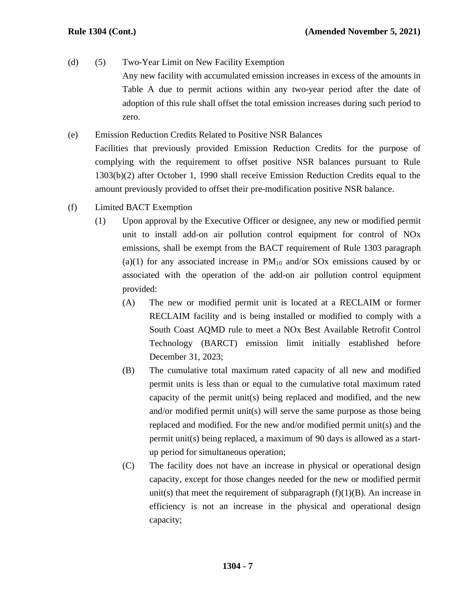- (d) (5) Two-Year Limit on New Facility Exemption Any new facility with accumulated emission increases in excess of the amounts in Table A due to permit actions within any two-year period after the date of adoption of this rule shall offset the total emission increases during such period to zero.
- (e) Emission Reduction Credits Related to Positive NSR Balances Facilities that previously provided Emission Reduction Credits for the purpose of complying with the requirement to offset positive NSR balances pursuant to Rule 1303(b)(2) after October 1, 1990 shall receive Emission Reduction Credits equal to the amount previously provided to offset their pre-modification positive NSR balance.
- (f) Limited BACT Exemption
	- (1) Upon approval by the Executive Officer or designee, any new or modified permit unit to install add-on air pollution control equipment for control of NOx emissions, shall be exempt from the BACT requirement of Rule 1303 paragraph (a)(1) for any associated increase in  $PM_{10}$  and/or SOx emissions caused by or associated with the operation of the add-on air pollution control equipment provided:
		- (A) The new or modified permit unit is located at a RECLAIM or former RECLAIM facility and is being installed or modified to comply with a South Coast AQMD rule to meet a NOx Best Available Retrofit Control Technology (BARCT) emission limit initially established before December 31, 2023;
		- (B) The cumulative total maximum rated capacity of all new and modified permit units is less than or equal to the cumulative total maximum rated capacity of the permit unit(s) being replaced and modified, and the new and/or modified permit unit(s) will serve the same purpose as those being replaced and modified. For the new and/or modified permit unit(s) and the permit unit(s) being replaced, a maximum of 90 days is allowed as a startup period for simultaneous operation;
		- (C) The facility does not have an increase in physical or operational design capacity, except for those changes needed for the new or modified permit unit(s) that meet the requirement of subparagraph  $(f)(1)(B)$ . An increase in efficiency is not an increase in the physical and operational design capacity;